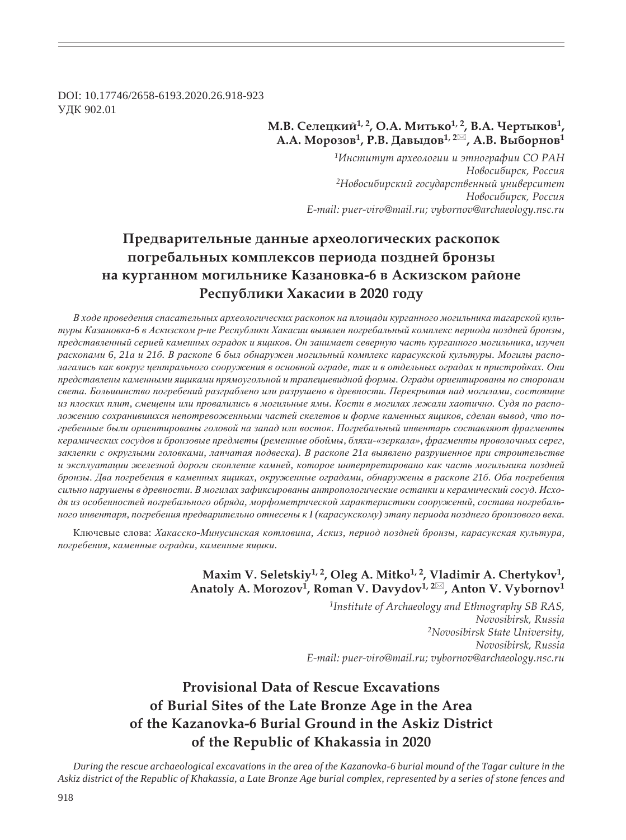DOI: 10.17746/2658-6193.2020.26.918-923 ɍȾɄ 902.01

## **М.В. Селецкий<sup>1, 2</sup>, О.А. Митько<sup>1, 2</sup>, В.А. Чертыков<sup>1</sup>, Ǯ.Ǯ. ǺȜȞȜȕȜȐ1, Ǿ.ǰ. DzȎȐȩȒȜȐ1, 2 , Ǯ.ǰ. ǰȩȏȜȞțȜȐ<sup>1</sup>**

*<sup>1</sup>ǶțȟȠȖȠȡȠ ȎȞȣȓȜșȜȑȖȖ Ȗ ȫȠțȜȑȞȎȢȖȖ ǿǼ ǾǮǻ*  $H$ овосибирск, Россия <sup>2</sup>Новосибирский государственный университет  $H$ овосибирск, Россия *E-mail: puer-viro@mail.ru; vybornov@archaeology.nsc.ru*

# Предварительные данные археологических раскопок погребальных комплексов периода поздней бронзы **па курганном могильнике Казановка-6 в Аскизском районе** Республики Хакасии в 2020 году

В ходе проведения спасательных археологических раскопок на площади курганного могильника тагарской культуры Казановка-6 в Аскизском р-не Республики Хакасии выявлен погребальный комплекс периода поздней бронзы, представленный серией каменных оградок и ящиков. Он занимает северную часть курганного могильника, изучен раскопами 6, 21 аи 216. В раскопе 6 был обнаружен могильный комплекс карасукской культуры. Могилы располагались как вокруг центрального сооружения в основной ограде, так и в отдельных оградах и пристройках. Они представлены каменными ящиками прямоугольной и трапециевидной формы. Ограды ориентированы по сторонам *ɫɜɟɬɚ. Ȼɨɥɶɲɢɧɫɬɜɨ ɩɨɝɪɟɛɟɧɢɣ ɪɚɡɝɪɚɛɥɟɧɨ ɢɥɢ ɪɚɡɪɭɲɟɧɨ ɜ ɞɪɟɜɧɨɫɬɢ. ɉɟɪɟɤɪɵɬɢɹ ɧɚɞ ɦɨɝɢɥɚɦɢ, ɫɨɫɬɨɹɳɢɟ* из плоских плит, смещены или провалились в могильные ямы. Кости в могилах лежали хаотично. Судя по расположению сохранившихся непотревоженными частей скелетов и форме каменных ящиков, сделан вывод, что погребенные были ориентированы головой на запад или восток. Погребальный инвентарь составляют фрагменты керамических сосудов и бронзовые предметы (ременные обоймы, бляхи-«зеркала», фрагменты проволочных серег,  $3a$ клепки с округлыми головками, лапчатая подвеска). В раскопе 21 авыявлено разрушенное при строительстве и эксплуатации железной дороги скопление камней, которое интерпретировано как часть могильника поздней бронзы. Два погребения в каменных ящиках, окруженные оградами, обнаружены в раскопе 216. Оба погребения *ɫɢɥɶɧɨ ɧɚɪɭɲɟɧɵ ɜ ɞɪɟɜɧɨɫɬɢ. ȼ ɦɨɝɢɥɚɯ ɡɚɮɢɤɫɢɪɨɜɚɧɵ ɚɧɬɪɨɩɨɥɨɝɢɱɟɫɤɢɟ ɨɫɬɚɧɤɢ ɢ ɤɟɪɚɦɢɱɟɫɤɢɣ ɫɨɫɭɞ. ɂɫɯɨ*дя из особенностей погребального обряда, морфометрической характеристики сооружений, состава погребаль- $H(xa)$  инвентаря, погребения предварительно отнесены к I (карасукскому) этапу периода позднего бронзового века.

Ключевые слова: Хакасско-Минусинская котловина, Аскиз, период поздней бронзы, карасукская культура, погребения, каменные оградки, каменные ящики.

## Maxim V. Seletskiy<sup>1, 2</sup>, Oleg A. Mitko<sup>1, 2</sup>, Vladimir A. Chertykov<sup>1</sup>, Anatoly A. Morozov<sup>1</sup>, Roman V. Davydov<sup>1, 2⊠</sup>, Anton V. Vybornov<sup>1</sup>

*1Institute of Archaeology and Ethnography SB RAS, Novosibirsk, Russia 2Novosibirsk State University, Novosibirsk, Russia E-mail: puer-viro@mail.ru; vybornov@archaeology.nsc.ru*

# **Provisional Data of Rescue Excavations of Burial Sites of the Late Bronze Age in the Area of the Kazanovka-6 Burial Ground in the Askiz District of the Republic of Khakassia in 2020**

*During the rescue archaeological excavations in the area of the Kazanovka-6 burial mound of the Tagar culture in the Askiz district of the Republic of Khakassia, a Late Bronze Age burial complex, represented by a series of stone fences and*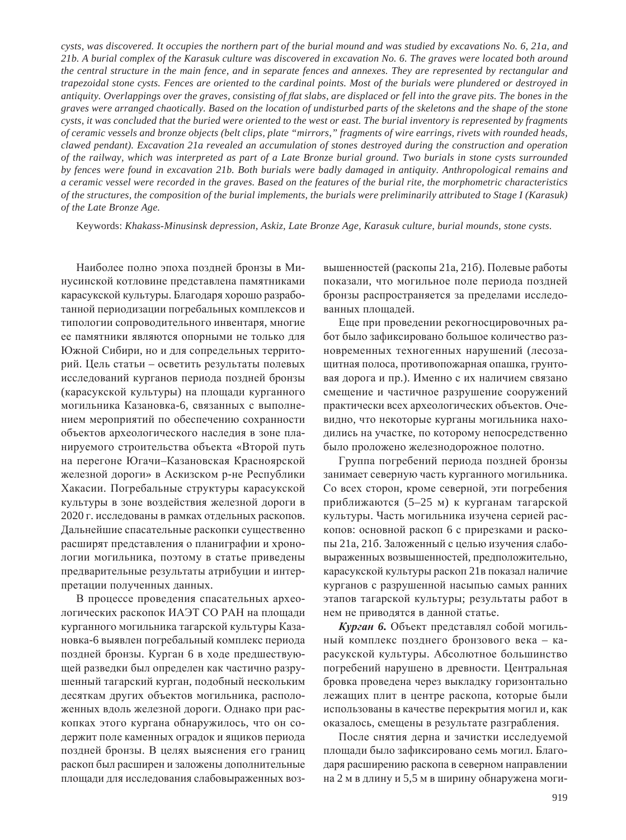*cysts, was discovered. It occupies the northern part of the burial mound and was studied by excavations No. 6, 21a, and 21b. A burial complex of the Karasuk culture was discovered in excavation No. 6. The graves were located both around the central structure in the main fence, and in separate fences and annexes. They are represented by rectangular and trapezoidal stone cysts. Fences are oriented to the cardinal points. Most of the burials were plundered or destroyed in antiquity. Overlappings over the graves, consisting of À at slabs, are displaced or fell into the grave pits. The bones in the graves were arranged chaotically. Based on the location of undisturbed parts of the skeletons and the shape of the stone cysts, it was concluded that the buried were oriented to the west or east. The burial inventory is represented by fragments of ceramic vessels and bronze objects (belt clips, plate "mirrors," fragments of wire earrings, rivets with rounded heads, clawed pendant). Excavation 21a revealed an accumulation of stones destroyed during the construction and operation of the railway, which was interpreted as part of a Late Bronze burial ground. Two burials in stone cysts surrounded by fences were found in excavation 21b. Both burials were badly damaged in antiquity. Anthropological remains and a ceramic vessel were recorded in the graves. Based on the features of the burial rite, the morphometric characteristics of the structures, the composition of the burial implements, the burials were preliminarily attributed to Stage I (Karasuk) of the Late Bronze Age.*

Keywords: *Khakass-Minusinsk depression, Askiz, Late Bronze Age, Karasuk culture, burial mounds, stone cysts.*

Наиболее полно эпоха поздней бронзы в Минусинской котловине представлена памятниками карасукской культуры. Благодаря хорошо разработанной периодизации погребальных комплексов и типологии сопроводительного инвентаря, многие ее памятники являются опорными не только для Южной Сибири, но и для сопредельных территорий. Цель статьи – осветить результаты полевых исследований курганов периода поздней бронзы (карасукской культуры) на площади курганного могильника Казановка-6, связанных с выполнением мероприятий по обеспечению сохранности объектов археологического наследия в зоне планируемого строительства объекта «Второй путь на перегоне Югачи-Казановская Красноярской железной дороги» в Аскизском р-не Республики Хакасии. Погребальные структуры карасукской культуры в зоне воздействия железной дороги в 2020 г. исследованы в рамках отдельных раскопов. Дальнейшие спасательные раскопки существенно расширят представления о планиграфии и хронологии могильника, поэтому в статье приведены предварительные результаты атрибуции и интерпретации полученных данных.

В процессе проведения спасательных археологических раскопок ИАЭТ СО РАН на площади курганного могильника тагарской культуры Казановка-6 выявлен погребальный комплекс периода поздней бронзы. Курган 6 в ходе предшествующей разведки был определен как частично разрушенный тагарский курган, подобный нескольким десяткам других объектов могильника, расположенных вдоль железной дороги. Однако при раскопках этого кургана обнаружилось, что он содержит поле каменных оградок и ящиков периода поздней бронзы. В целях выяснения его границ раскоп был расширен и заложены дополнительные площади для исследования слабовыраженных возвышенностей (раскопы 21а, 21б). Полевые работы показали, что могильное поле периода поздней бронзы распространяется за пределами исследованных площадей.

Еще при проведении рекогносцировочных работ было зафиксировано большое количество разновременных техногенных нарушений (лесозащитная полоса, противопожарная опашка, грунтовая дорога и пр.). Именно с их наличием связано смещение и частичное разрушение сооружений практически всех археологических объектов. Очевидно, что некоторые курганы могильника находились на участке, по которому непосредственно было проложено железнодорожное полотно.

Группа погребений периода поздней бронзы занимает северную часть курганного могильника. Со всех сторон, кроме северной, эти погребения приближаются (5–25 м) к курганам тагарской культуры. Часть могильника изучена серией раскопов: основной раскоп 6 с прирезками и раскопы 21а, 21б. Заложенный с целью изучения слабовыраженных возвышенностей, предположительно, карасукской культуры раскоп 21 в показал наличие курганов с разрушенной насыпью самых ранних этапов тагарской культуры; результаты работ в нем не приводятся в данной статье.

Курган 6. Объект представлял собой могильный комплекс позднего бронзового века - карасукской культуры. Абсолютное большинство погребений нарушено в древности. Центральная бровка проведена через выкладку горизонтально лежащих плит в центре раскопа, которые были использованы в качестве перекрытия могил и, как оказалось, смещены в результате разграбления.

После снятия дерна и зачистки исследуемой площади было зафиксировано семь могил. Благодаря расширению раскопа в северном направлении на 2 м в длину и 5,5 м в ширину обнаружена моги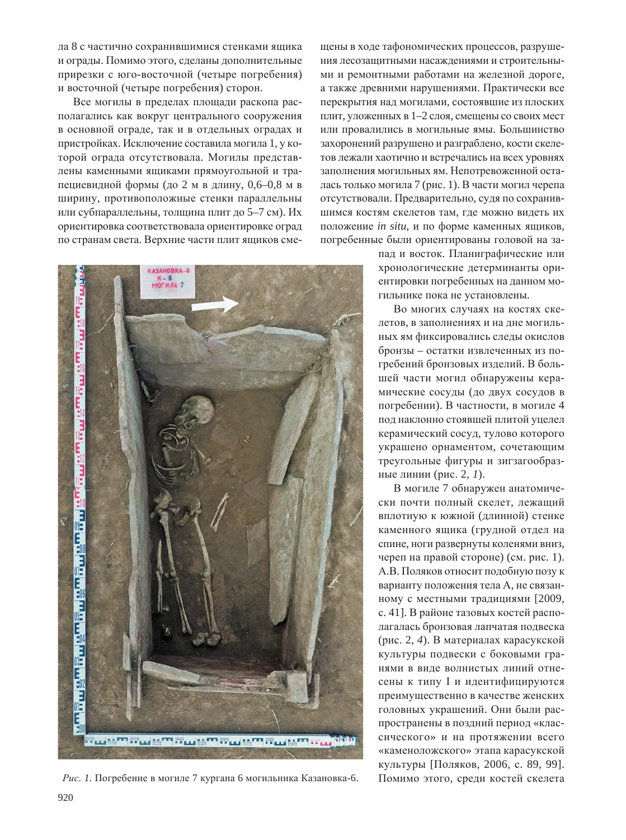ла 8 с частично сохранившимися стенками ящика и ограды. Помимо этого, сделаны дополнительные прирезки с юго-восточной (четыре погребения) и восточной (четыре погребения) сторон.

Все могилы в пределах площади раскопа располагались как вокруг центрального сооружения в основной ограде, так и в отдельных оградах и пристройках. Исключение составила могила 1, у которой ограда отсутствовала. Могилы представлены каменными ящиками прямоугольной и трапециевидной формы (до 2 м в длину, 0,6–0,8 м в ширину, противоположные стенки параллельны или субпараллельны, толщина плит до 5–7 см). Их ориентировка соответствовала ориентировке оград по странам света. Верхние части плит ящиков сме-



Рис. 1. Погребение в могиле 7 кургана 6 могильника Казановка-6. Помимо этого, среди костей скелета

щены в ходе тафономических процессов, разрушения лесозащитными насаждениями и строительными и ремонтными работами на железной дороге, а также древними нарушениями. Практически все перекрытия над могилами, состоявшие из плоских плит, уложенных в 1–2 слоя, смещены со своих мест или провалились в могильные ямы. Большинство захоронений разрушено и разграблено, кости скелетов лежали хаотично и встречались на всех уровнях заполнения могильных ям. Непотревоженной осталась только могила 7 (рис. 1). В части могил черепа отсутствовали. Предварительно, судя по сохранившимся костям скелетов там, где можно видеть их положение *in situ*, и по форме каменных ящиков, погребенные были ориентированы головой на за-

пад и восток. Планиграфические или хронологические детерминанты ориентировки погребенных на данном могильнике пока не установлены.

Во многих случаях на костях скелетов, в заполнениях и на дне могильных ям фиксировались следы окислов бронзы – остатки извлеченных из погребений бронзовых изделий. В большей части могил обнаружены керамические сосуды (до двух сосудов в погребении). В частности, в могиле 4 под наклонно стоявшей плитой уцелел керамический сосуд, тулово которого украшено орнаментом, сочетающим треугольные фигуры и зигзагообразные линии (рис. 2, 1).

В могиле 7 обнаружен анатомически почти полный скелет, лежащий вплотную к южной (длинной) стенке каменного ящика (грудной отдел на спине, ноги развернуты коленями вниз, череп на правой стороне) (см. рис. 1). А.В. Поляков относит подобную позу к варианту положения тела А, не связанному с местными традициями [2009, с. 41]. В районе тазовых костей располагалась бронзовая лапчатая подвеска (рис. 2, 4). В материалах карасукской культуры подвески с боковыми гранями в виде волнистых линий отнесены к типу I и идентифицируются преимущественно в качестве женских головных украшений. Они были распространены в поздний период «классического» и на протяжении всего «каменоложского» этапа карасукской культуры [Поляков, 2006, с. 89, 99].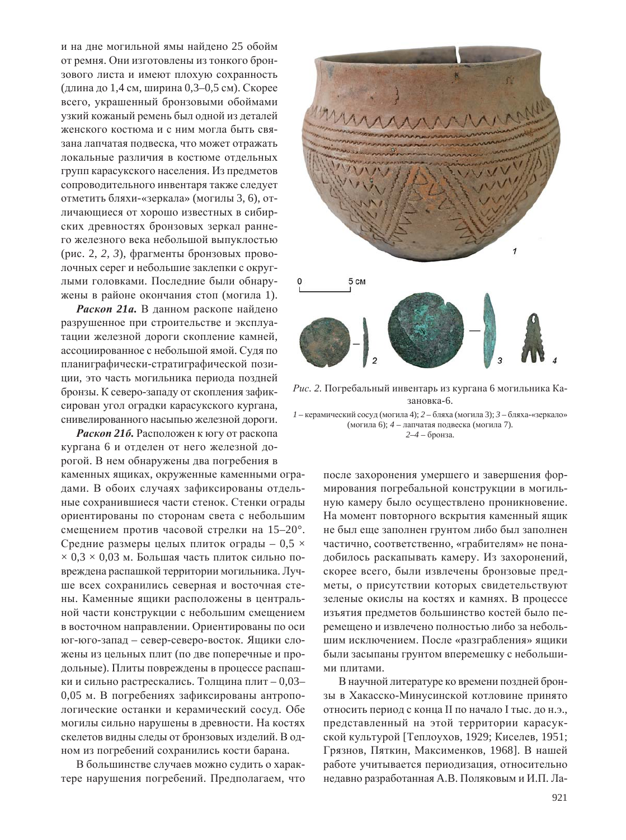и на дне могильной ямы найдено 25 обойм от ремня. Они изготовлены из тонкого бронзового листа и имеют плохую сохранность (длина до 1,4 см, ширина 0,3–0,5 см). Скорее всего, украшенный бронзовыми обоймами узкий кожаный ремень был одной из деталей женского костюма и с ним могла быть связана лапчатая подвеска, что может отражать локальные различия в костюме отдельных групп карасукского населения. Из предметов сопроводительного инвентаря также следует отметить бляхи-«зеркала» (могилы 3, 6), отличающиеся от хорошо известных в сибирских древностях бронзовых зеркал раннего железного века небольшой выпуклостью (рис. 2, 2, 3), фрагменты бронзовых проволочных серег и небольшие заклепки с округлыми головками. Последние были обнаружены в районе окончания стоп (могила 1).

Раскоп 21*a*. В данном раскопе найдено разрушенное при строительстве и эксплуатации железной дороги скопление камней, ассоциированное с небольшой ямой. Судя по планиграфически-стратиграфической позиции, это часть могильника периода поздней бронзы. К северо-западу от скопления зафиксирован угол оградки карасукского кургана, снивелированного насыпью железной дороги.

**Раскоп 216.** Расположен к югу от раскопа кургана 6 и отделен от него железной дорогой. В нем обнаружены два погребения в каменных ящиках, окруженные каменными оградами. В обоих случаях зафиксированы отдельные сохранившиеся части стенок. Стенки ограды ориентированы по сторонам света с небольшим смещением против часовой стрелки на 15–20°. Средние размеры целых плиток ограды  $-0.5 \times$  $\times$  0,3  $\times$  0,03 м. Большая часть плиток сильно повреждена распашкой территории могильника. Лучше всех сохранились северная и восточная стены. Каменные ящики расположены в центральной части конструкции с небольшим смещением в восточном направлении. Ориентированы по оси юг-юго-запад – север-северо-восток. Ящики сложены из цельных плит (по две поперечные и продольные). Плиты повреждены в процессе распашки и сильно растрескались. Толщина плит – 0,03– 0,05 м. В погребениях зафиксированы антропологические останки и керамический сосуд. Обе могилы сильно нарушены в древности. На костях скелетов видны следы от бронзовых изделий. В одном из погребений сохранились кости барана.

В большинстве случаев можно судить о характере нарушения погребений. Предполагаем, что



Рис. 2. Погребальный инвентарь из кургана 6 могильника Казановка-6.

 $1$  – керамический сосуд (могила 4);  $2$  – бляха (могила 3);  $3$  – бляха-«зеркало» (могила 6); 4 – лапчатая подвеска (могила 7).  $2-4$  – бронза.

> после захоронения умершего и завершения формирования погребальной конструкции в могильную камеру было осуществлено проникновение. На момент повторного вскрытия каменный ящик не был еще заполнен грунтом либо был заполнен частично, соответственно, «грабителям» не понадобилось раскапывать камеру. Из захоронений, скорее всего, были извлечены бронзовые предметы, о присутствии которых свидетельствуют зеленые окислы на костях и камнях. В процессе изъятия предметов большинство костей было перемещено и извлечено полностью либо за небольшим исключением. После «разграбления» ящики были засыпаны грунтом вперемешку с небольшими плитами.

> В научной литературе ко времени поздней бронзы в Хакасско-Минусинской котловине принято относить период с конца II по начало I тыс. до н.э., представленный на этой территории карасукской культурой [Теплоухов, 1929; Киселев, 1951; Грязнов, Пяткин, Максименков, 1968]. В нашей работе учитывается периодизация, относительно недавно разработанная А.В. Поляковым и И.П. Ла-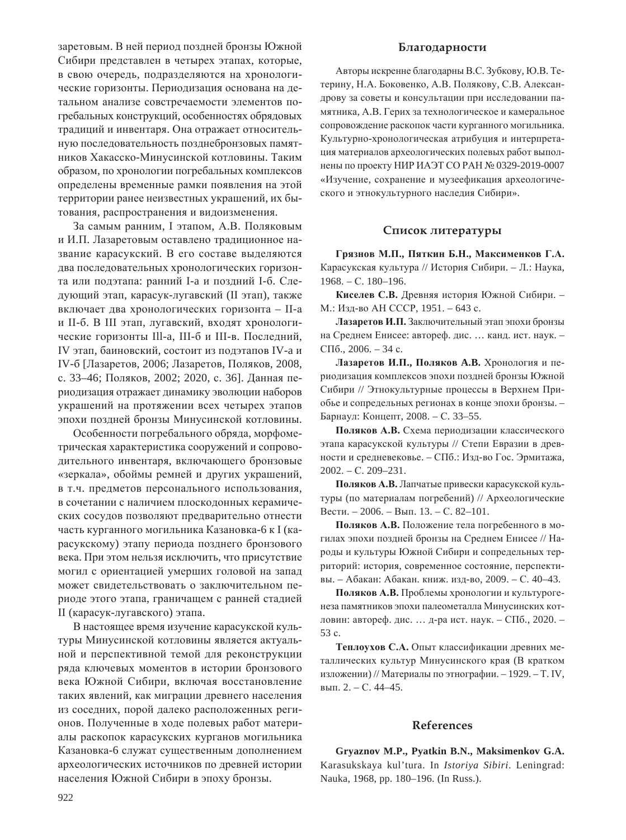заретовым. В ней период поздней бронзы Южной Сибири представлен в четырех этапах, которые, в свою очередь, подразделяются на хронологические горизонты. Периодизация основана на детальном анализе совстречаемости элементов погребальных конструкций, особенностях обрядовых традиций и инвентаря. Она отражает относительную последовательность позднебронзовых памятников Хакасско-Минусинской котловины. Таким образом, по хронологии погребальных комплексов определены временные рамки появления на этой территории ранее неизвестных украшений, их бытования, распространения и видоизменения.

За самым ранним. І этапом. А.В. Поляковым и И.П. Лазаретовым оставлено традиционное название карасукский. В его составе выделяются два последовательных хронологических горизонта или подэтапа: ранний I-а и поздний I-б. Следующий этап, карасук-лугавский (II этап), также включает два хронологических горизонта - II-а и II-б. В III этап, лугавский, входят хронологические горизонты Ill-а, III-б и III-в. Последний, IV этап, баиновский, состоит из подэтапов IV-а и IV-б [Лазаретов, 2006; Лазаретов, Поляков, 2008, с. 33-46; Поляков, 2002; 2020, с. 36]. Данная периодизация отражает динамику эволюции наборов украшений на протяжении всех четырех этапов эпохи поздней бронзы Минусинской котловины.

Особенности погребального обряда, морфометрическая характеристика сооружений и сопроводительного инвентаря, включающего бронзовые «зеркала», обоймы ремней и других украшений, в т.ч. предметов персонального использования, в сочетании с наличием плоскодонных керамических сосудов позволяют предварительно отнести часть курганного могильника Казановка-6 к I (карасукскому) этапу периода позднего бронзового века. При этом нельзя исключить, что присутствие могил с ориентацией умерших головой на запад может свидетельствовать о заключительном периоде этого этапа, граничащем с ранней стадией II (карасук-лугавского) этапа.

В настоящее время изучение карасукской культуры Минусинской котловины является актуальной и перспективной темой для реконструкции ряда ключевых моментов в истории бронзового века Южной Сибири, включая восстановление таких явлений, как миграции древнего населения из соседних, порой далеко расположенных регионов. Полученные в ходе полевых работ материалы раскопок карасукских курганов могильника Казановка-6 служат существенным дополнением археологических источников по древней истории населения Южной Сибири в эпоху бронзы.

#### **Благодарности**

Авторы искренне благодарны В.С. Зубкову, Ю.В. Тетерину, Н.А. Боковенко, А.В. Полякову, С.В. Александрову за советы и консультации при исследовании памятника, А.В. Герих за технологическое и камеральное сопровождение раскопок части курганного могильника. Культурно-хронологическая атрибуция и интерпретация материалов археологических полевых работ выполнены по проекту НИР ИАЭТ СО РАН № 0329-2019-0007 «Изучение, сохранение и музеефикация археологического и этнокультурного наследия Сибири».

### Список литературы

 $\Gamma$ рязнов М.П., Пяткин Б.Н., Максименков Г.А. Карасукская культура // История Сибири. – Л.: Наука,  $1968. - C. 180 - 196.$ 

Киселев С.В. Древняя история Южной Сибири. -М.: Изд-во АН СССР, 1951. – 643 с.

Лазаретов И.П. Заключительный этап эпохи бронзы на Среднем Енисее: автореф. дис. ... канд. ист. наук. - $\mathcal{C}\Pi$ <sup>6</sup>., 2006. – 34 c.

Лазаретов И.П., Поляков А.В. Хронология и периодизация комплексов эпохи поздней бронзы Южной Сибири // Этнокультурные процессы в Верхнем Приобье и сопредельных регионах в конце эпохи бронзы. -Барнаул: Концепт, 2008. – С. 33–55.

Поляков А.В. Схема периодизации классического этапа карасукской культуры // Степи Евразии в древности и средневековье. – СПб.: Изд-во Гос. Эрмитажа,  $2002. - C. 209 - 231.$ 

Поляков А.В. Лапчатые привески карасукской культуры (по материалам погребений) // Археологические Вести. – 2006. – Вып. 13. – С. 82–101.

Поляков А.В. Положение тела погребенного в могилах эпохи поздней бронзы на Среднем Енисее // Народы и культуры Южной Сибири и сопредельных территорий: история, современное состояние, перспективы. – Абакан: Абакан. книж. изд-во, 2009. – С. 40–43.

Поляков А.В. Проблемы хронологии и культурогенеза памятников эпохи палеометалла Минусинских котловин: автореф. дис. ... д-ра ист. наук. - СПб., 2020. -53 c.

Теплоухов С.А. Опыт классификации древних металлических культур Минусинского края (В кратком изложении) // Материалы по этнографии. - 1929. - Т. IV, вып.  $2. - C. 44-45.$ 

#### **References**

**Gryaznov M.P., Pyatkin B.N., Maksimenkov G.A.** Karasukskaya kul'tura. In *Istoriya Sibiri*. Leningrad: Nauka, 1968, pp. 180–196. (In Russ.).